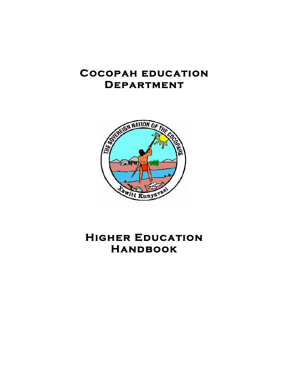## **Cocopah education Department**



# **Higher Education Handbook**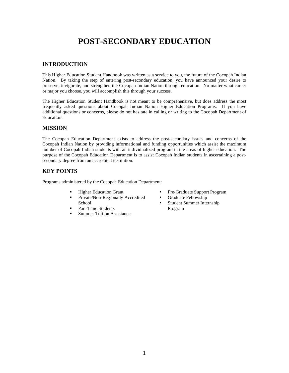## **POST-SECONDARY EDUCATION**

### **INTRODUCTION**

This Higher Education Student Handbook was written as a service to you, the future of the Cocopah Indian Nation. By taking the step of entering post-secondary education, you have announced your desire to preserve, invigorate, and strengthen the Cocopah Indian Nation through education. No matter what career or major you choose, you will accomplish this through your success.

The Higher Education Student Handbook is not meant to be comprehensive, but does address the most frequently asked questions about Cocopah Indian Nation Higher Education Programs. If you have additional questions or concerns, please do not hesitate in calling or writing to the Cocopah Department of Education.

### **MISSION**

The Cocopah Education Department exists to address the post-secondary issues and concerns of the Cocopah Indian Nation by providing informational and funding opportunities which assist the maximum number of Cocopah Indian students with an individualized program in the areas of higher education. The purpose of the Cocopah Education Department is to assist Cocopah Indian students in ascertaining a postsecondary degree from an accredited institution.

## **KEY POINTS**

Programs administered by the Cocopah Education Department:

- Higher Education Grant
- **Private/Non-Regionally Accredited** School
- Part-Time Students
- Summer Tuition Assistance
- Pre-Graduate Support Program
- **Graduate Fellowship**
- Student Summer Internship Program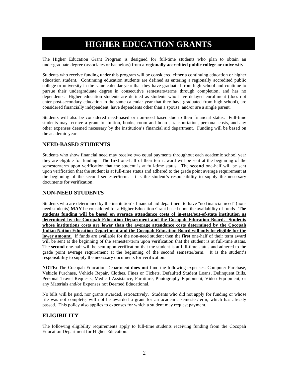## **HIGHER EDUCATION GRANTS**

The Higher Education Grant Program is designed for full-time students who plan to obtain an undergraduate degree (associates or bachelors) from a **regionally accredited public college or university**.

Students who receive funding under this program will be considered either a continuing education or higher education student. Continuing education students are defined as entering a regionally accredited public college or university in the same calendar year that they have graduated from high school and continue to pursue their undergraduate degree in consecutive semesters/terms through completion, and has no dependents. Higher education students are defined as students who have delayed enrollment (does not enter post-secondary education in the same calendar year that they have graduated from high school), are considered financially independent, have dependents other than a spouse, and/or are a single parent.

Students will also be considered need-based or non-need based due to their financial status. Full-time students may receive a grant for tuition, books, room and board, transportation, personal costs, and any other expenses deemed necessary by the institution's financial aid department. Funding will be based on the academic year.

## **NEED-BASED STUDENTS**

Students who show financial need may receive two equal payments throughout each academic school year they are eligible for funding. The **first** one-half of their term award will be sent at the beginning of the semester/term upon verification that the student is at full-time status. The **second** one-half will be sent upon verification that the student is at full-time status and adhered to the grade point average requirement at the beginning of the second semester/term. It is the student's responsibility to supply the necessary documents for verification.

## **NON-NEED STUDENTS**

Students who are determined by the institution's financial aid department to have "no financial need" (nonneed students) **MAY** be considered for a Higher Education Grant based upon the availability of funds. **The students funding will be based on average attendance costs of in-state/out-of-state institution as determined by the Cocopah Education Department and the Cocopah Education Board. Students whose institutions costs are lower than the average attendance costs determined by the Cocopah Indian Nation Education Department and the Cocopah Education Board will only be eligible for the lower amount.** If funds are available for the non-need student then the **first** one-half of their term award will be sent at the beginning of the semester/term upon verification that the student is at full-time status. The **second** one-half will be sent upon verification that the student is at full-time status and adhered to the grade point average requirement at the beginning of the second semester/term. It is the student's responsibility to supply the necessary documents for verification.

**NOTE:** The Cocopah Education Department **does not** fund the following expenses: Computer Purchase, Vehicle Purchase, Vehicle Repair, Clothes, Fines or Tickets, Defaulted Student Loans, Delinquent Bills, Personal Travel Requests, Medical Assistance, Furniture, Photography Equipment, Video Equipment, or any Materials and/or Expenses not Deemed Educational.

No bills will be paid, nor grants awarded, retroactively. Students who did not apply for funding or whose file was not complete, will not be awarded a grant for an academic semester/term, which has already passed. This policy also applies to expenses for which a student may request payment.

## **ELIGIBILITY**

The following eligibility requirements apply to full-time students receiving funding from the Cocopah Education Department for Higher Education: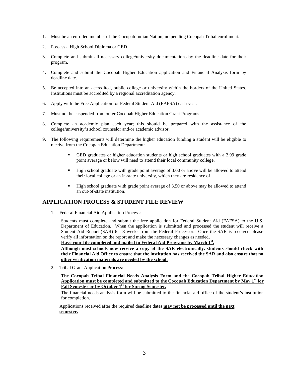- 1. Must be an enrolled member of the Cocopah Indian Nation, no pending Cocopah Tribal enrollment.
- 2. Possess a High School Diploma or GED.
- 3. Complete and submit all necessary college/university documentations by the deadline date for their program.
- 4. Complete and submit the Cocopah Higher Education application and Financial Analysis form by deadline date.
- 5. Be accepted into an accredited, public college or university within the borders of the United States. Institutions must be accredited by a regional accreditation agency.
- 6. Apply with the Free Application for Federal Student Aid (FAFSA) each year.
- 7. Must not be suspended from other Cocopah Higher Education Grant Programs.
- 8. Complete an academic plan each year; this should be prepared with the assistance of the college/university's school counselor and/or academic advisor.
- 9. The following requirements will determine the higher education funding a student will be eligible to receive from the Cocopah Education Department:
	- GED graduates or higher education students or high school graduates with a 2.99 grade point average or below will need to attend their local community college.
	- High school graduate with grade point average of 3.00 or above will be allowed to attend their local college or an in-state university, which they are residence of.
	- High school graduate with grade point average of 3.50 or above may be allowed to attend an out-of-state institution.

### **APPLICATION PROCESS & STUDENT FILE REVIEW**

1. Federal Financial Aid Application Process:

Students must complete and submit the free application for Federal Student Aid (FAFSA) to the U.S. Department of Education. When the application is submitted and processed the student will receive a Student Aid Report (SAR) 6 - 8 weeks from the Federal Processor. Once the SAR is received please verify all information on the report and make the necessary changes as needed.

**Have your file completed and mailed to Federal Aid Programs by March 1st.**

**Although most schools now receive a copy of the SAR electronically, students should check with their Financial Aid Office to ensure that the institution has received the SAR and also ensure that no other verification materials are needed by the school.**

2. Tribal Grant Application Process:

**The Cocopah Tribal Financial Needs Analysis Form and the Cocopah Tribal Higher Education Application must be completed and submitted to the Cocopah Education Department by May 1st for Fall Semester or by October 1st for Spring Semester.**

The financial needs analysis form will be submitted to the financial aid office of the student's institution for completion.

Applications received after the required deadline dates **may not be processed until the next semester.**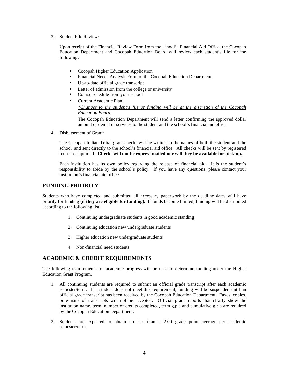3. Student File Review:

Upon receipt of the Financial Review Form from the school's Financial Aid Office, the Cocopah Education Department and Cocopah Education Board will review each student's file for the following:

- Cocopah Higher Education Application
- Financial Needs Analysis Form of the Cocopah Education Department
- Up-to-date official grade transcript
- **Letter of admission from the college or university**
- Course schedule from your school
- Current Academic Plan *\*Changes to the student's file or funding will be at the discretion of the Cocopah*

*Education Board.* The Cocopah Education Department will send a letter confirming the approved dollar amount or denial of services to the student and the school's financial aid office.

4. Disbursement of Grant:

The Cocopah Indian Tribal grant checks will be written in the names of both the student and the school, and sent directly to the school's financial aid office. All checks will be sent by registered return receipt mail. **Checks will not be express mailed nor will they be available for pick-up.**

Each institution has its own policy regarding the release of financial aid. It is the student's responsibility to abide by the school's policy. If you have any questions, please contact your institution's financial aid office.

#### **FUNDING PRIORITY**

Students who have completed and submitted all necessary paperwork by the deadline dates will have priority for funding **(if they are eligible for funding).** If funds become limited, funding will be distributed according to the following list:

- 1. Continuing undergraduate students in good academic standing
- 2. Continuing education new undergraduate students
- 3. Higher education new undergraduate students
- 4. Non-financial need students

#### **ACADEMIC & CREDIT REQUIREMENTS**

The following requirements for academic progress will be used to determine funding under the Higher Education Grant Program.

- 1. All continuing students are required to submit an official grade transcript after each academic semester/term. If a student does not meet this requirement, funding will be suspended until an official grade transcript has been received by the Cocopah Education Department. Faxes, copies, or e-mails of transcripts will not be accepted. Official grade reports that clearly show the institution name, term, number of credits completed, term g.p.a and cumulative g.p.a are required by the Cocopah Education Department.
- 2. Students are expected to obtain no less than a 2.00 grade point average per academic semester/term.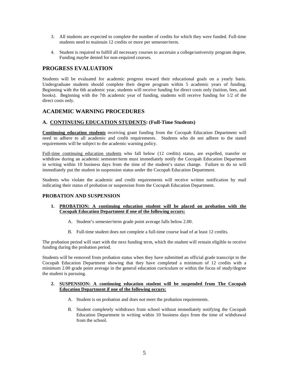- 3. All students are expected to complete the number of credits for which they were funded. Full-time students need to maintain 12 credits or more per semester/term.
- 4. Student is required to fulfill all necessary courses to ascertain a college/university program degree. Funding maybe denied for non-required courses.

## **PROGRESS EVALUATION**

Students will be evaluated for academic progress toward their educational goals on a yearly basis. Undergraduate students should complete their degree program within 5 academic years of funding. Beginning with the 6th academic year, students will receive funding for direct costs only (tuition, fees, and books). Beginning with the 7th academic year of funding, students will receive funding for 1/2 of the direct costs only.

## **ACADEMIC WARNING PROCEDURES**

#### **A. CONTINUING EDUCATION STUDENTS: (Full-Time Students)**

**Continuing education students** receiving grant funding from the Cocopah Education Department will need to adhere to all academic and credit requirements. Students who do not adhere to the stated requirements will be subject to the academic warning policy.

Full-time continuing education students who fall below (12 credits) status, are expelled, transfer or withdraw during an academic semester/term must immediately notify the Cocopah Education Department in writing within 10 business days from the time of the student's status change. Failure to do so will immediately put the student in suspension status under the Cocopah Education Department.

Students who violate the academic and credit requirements will receive written notification by mail indicating their status of probation or suspension from the Cocopah Education Department.

#### **PROBATION AND SUSPENSION**

- **1. PROBATION: A continuing education student will be placed on probation with the Cocopah Education Department if one of the following occurs:** 
	- A. Student's semester/term grade point average falls below 2.00.
	- B. Full-time student does not complete a full-time course load of at least 12 credits.

The probation period will start with the next funding term, which the student will remain eligible to receive funding during the probation period.

Students will be removed from probation status when they have submitted an official grade transcript to the Cocopah Education Department showing that they have completed a minimum of 12 credits with a minimum 2.00 grade point average in the general education curriculum or within the focus of study/degree the student is pursuing.

#### **2. SUSPENSION: A continuing education student will be suspended from The Cocopah Education Department if one of the following occurs:**

- A. Student is on probation and does not meet the probation requirements.
- B. Student completely withdraws from school without immediately notifying the Cocopah Education Department in writing within 10 business days from the time of withdrawal from the school.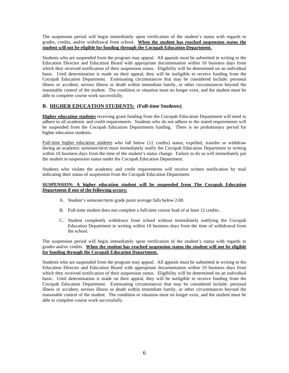The suspension period will begin immediately upon verification of the student's status with regards to grades, credits, and/or withdrawal from school. **When the student has reached suspension status the student will not be eligible for funding through the Cocopah Education Department.**

Students who are suspended from the program may appeal. All appeals must be submitted in writing to the Education Director and Education Board with appropriate documentation within 10 business days from which they received notification of their suspension status. Eligibility will be determined on an individual basis. Until determination is made on their appeal, they will be ineligible to receive funding from the Cocopah Education Department. Extenuating circumstances that may be considered include: personal illness or accident, serious illness or death within immediate family, or other circumstances beyond the reasonable control of the student. The condition or situation must no longer exist, and the student must be able to complete course work successfully.

### **B. HIGHER EDUCATION STUDENTS: (Full-time Students)**

**Higher education students** receiving grant funding from the Cocopah Education Department will need to adhere to all academic and credit requirements. Students who do not adhere to the stated requirements will be suspended from the Cocopah Education Departments funding. There is no probationary period for higher education students.

Full-time higher education students who fall below (12 credits) status, expelled, transfer or withdraw during an academic semester/term must immediately notify the Cocopah Education Department in writing within 10 business days from the time of the student's status change. Failure to do so will immediately put the student in suspension status under the Cocopah Education Department.

Students who violate the academic and credit requirements will receive written notification by mail indicating their status of suspension from the Cocopah Education Department.

#### **SUSPENSION: A higher education student will be suspended from The Cocopah Education Department if one of the following occurs:**

- A. Student's semester/term grade point average falls below 2.00.
- B. Full-time student does not complete a full-time course load of at least 12 credits.
- C. Student completely withdraws from school without immediately notifying the Cocopah Education Department in writing within 10 business days from the time of withdrawal from the school.

The suspension period will begin immediately upon verification of the student's status with regards to grades and/or credits. **When the student has reached suspension status the student will not be eligible for funding through the Cocopah Education Department.**

Students who are suspended from the program may appeal. All appeals must be submitted in writing to the Education Director and Education Board with appropriate documentation within 10 business days from which they received notification of their suspension status. Eligibility will be determined on an individual basis. Until determination is made on their appeal, they will be ineligible to receive funding from the Cocopah Education Department. Extenuating circumstances that may be considered include: personal illness or accident, serious illness or death within immediate family, or other circumstances beyond the reasonable control of the student. The condition or situation must no longer exist, and the student must be able to complete course work successfully.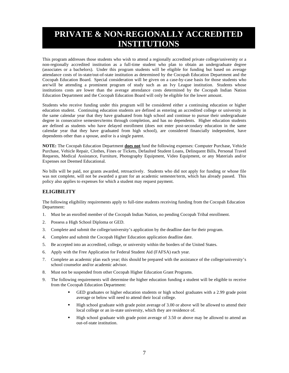## **PRIVATE & NON-REGIONALLY ACCREDITED INSTITUTIONS**

This program addresses those students who wish to attend a regionally accredited private college/university or a non-regionally accredited institution as a full-time student who plan to obtain an undergraduate degree (associates or a bachelors). Under this program students will be eligible for funding but based on average attendance costs of in-state/out-of-state institution as determined by the Cocopah Education Department and the Cocopah Education Board. Special consideration will be given on a case-by-case basis for those students who are/will be attending a prominent program of study such as an Ivy League institution. Students whose institutions costs are lower than the average attendance costs determined by the Cocopah Indian Nation Education Department and the Cocopah Education Board will only be eligible for the lower amount.

Students who receive funding under this program will be considered either a continuing education or higher education student. Continuing education students are defined as entering an accredited college or university in the same calendar year that they have graduated from high school and continue to pursue their undergraduate degree in consecutive semesters/terms through completion, and has no dependents. Higher education students are defined as students who have delayed enrollment (does not enter post-secondary education in the same calendar year that they have graduated from high school), are considered financially independent, have dependents other than a spouse, and/or is a single parent.

**NOTE:** The Cocopah Education Department **does not** fund the following expenses: Computer Purchase, Vehicle Purchase, Vehicle Repair, Clothes, Fines or Tickets, Defaulted Student Loans, Delinquent Bills, Personal Travel Requests, Medical Assistance, Furniture, Photography Equipment, Video Equipment, or any Materials and/or Expenses not Deemed Educational.

No bills will be paid, nor grants awarded, retroactively. Students who did not apply for funding or whose file was not complete, will not be awarded a grant for an academic semester/term, which has already passed. This policy also applies to expenses for which a student may request payment.

#### **ELIGIBILITY**

The following eligibility requirements apply to full-time students receiving funding from the Cocopah Education Department:

- 1. Must be an enrolled member of the Cocopah Indian Nation, no pending Cocopah Tribal enrollment.
- 2. Possess a High School Diploma or GED.
- 3. Complete and submit the college/university's application by the deadline date for their program.
- 4. Complete and submit the Cocopah Higher Education application deadline date.
- 5. Be accepted into an accredited, college, or university within the borders of the United States.
- 6. Apply with the Free Application for Federal Student Aid (FAFSA) each year.
- 7. Complete an academic plan each year; this should be prepared with the assistance of the college/university's school counselor and/or academic advisor.
- 8. Must not be suspended from other Cocopah Higher Education Grant Programs.
- 9. The following requirements will determine the higher education funding a student will be eligible to receive from the Cocopah Education Department:
	- GED graduates or higher education students or high school graduates with a 2.99 grade point average or below will need to attend their local college.
	- High school graduate with grade point average of 3.00 or above will be allowed to attend their local college or an in-state university, which they are residence of.
	- High school graduate with grade point average of 3.50 or above may be allowed to attend an out-of-state institution.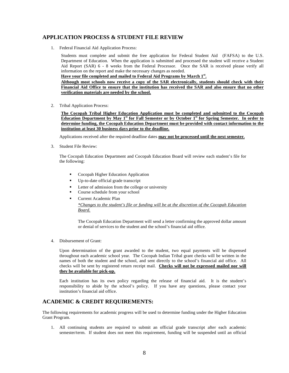### **APPLICATION PROCESS & STUDENT FILE REVIEW**

1. Federal Financial Aid Application Process:

Students must complete and submit the free application for Federal Student Aid (FAFSA) to the U.S. Department of Education. When the application is submitted and processed the student will receive a Student Aid Report (SAR) 6 - 8 weeks from the Federal Processor. Once the SAR is received please verify all information on the report and make the necessary changes as needed.

#### **Have your file completed and mailed to Federal Aid Programs by March 1st .**

**Although most schools now receive a copy of the SAR electronically, students should check with their Financial Aid Office to ensure that the institution has received the SAR and also ensure that no other verification materials are needed by the school.**

2. Tribal Application Process:

**The Cocopah Tribal Higher Education Application must be completed and submitted to the Cocopah Education Department by May 1st for Fall Semester or by October 1st for Spring Semester. In order to determine funding, the Cocopah Education Department must be provided with contact information to the institution at least 30 business days prior to the deadline.**

Applications received after the required deadline dates **may not be processed until the next semester.**

3. Student File Review:

The Cocopah Education Department and Cocopah Education Board will review each student's file for the following:

- Cocopah Higher Education Application
- Up-to-date official grade transcript
- Letter of admission from the college or university
- Course schedule from your school
- Current Academic Plan

#### *\*Changes to the student's file or funding will be at the discretion of the Cocopah Education Board.*

The Cocopah Education Department will send a letter confirming the approved dollar amount or denial of services to the student and the school's financial aid office.

4. Disbursement of Grant:

Upon determination of the grant awarded to the student, two equal payments will be dispensed throughout each academic school year.The Cocopah Indian Tribal grant checks will be written in the names of both the student and the school, and sent directly to the school's financial aid office. All checks will be sent by registered return receipt mail. **Checks will not be expressed mailed nor will they be available for pick-up.**

Each institution has its own policy regarding the release of financial aid. It is the student's responsibility to abide by the school's policy. If you have any questions, please contact your institution's financial aid office.

## **ACADEMIC & CREDIT REQUIREMENTS:**

The following requirements for academic progress will be used to determine funding under the Higher Education Grant Program.

1. All continuing students are required to submit an official grade transcript after each academic semester/term. If student does not meet this requirement, funding will be suspended until an official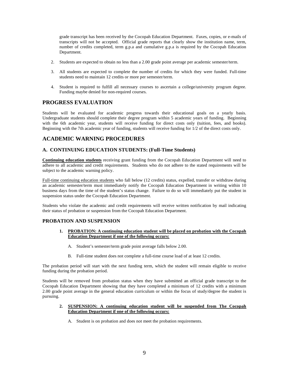grade transcript has been received by the Cocopah Education Department. Faxes, copies, or e-mails of transcripts will not be accepted. Official grade reports that clearly show the institution name, term, number of credits completed, term g.p.a and cumulative g.p.a is required by the Cocopah Education Department.

- 2. Students are expected to obtain no less than a 2.00 grade point average per academic semester/term.
- 3. All students are expected to complete the number of credits for which they were funded. Full-time students need to maintain 12 credits or more per semester/term.
- 4. Student is required to fulfill all necessary courses to ascertain a college/university program degree. Funding maybe denied for non-required courses.

### **PROGRESS EVALUATION**

Students will be evaluated for academic progress towards their educational goals on a yearly basis. Undergraduate students should complete their degree program within 5 academic years of funding. Beginning with the 6th academic year, students will receive funding for direct costs only (tuition, fees, and books). Beginning with the 7th academic year of funding, students will receive funding for 1/2 of the direct costs only.

## **ACADEMIC WARNING PROCEDURES**

#### **A. CONTINUING EDUCATION STUDENTS: (Full-Time Students)**

**Continuing education students** receiving grant funding from the Cocopah Education Department will need to adhere to all academic and credit requirements. Students who do not adhere to the stated requirements will be subject to the academic warning policy.

Full-time continuing education students who fall below (12 credits) status, expelled, transfer or withdraw during an academic semester/term must immediately notify the Cocopah Education Department in writing within 10 business days from the time of the student's status change. Failure to do so will immediately put the student in suspension status under the Cocopah Education Department.

Students who violate the academic and credit requirements will receive written notification by mail indicating their status of probation or suspension from the Cocopah Education Department.

#### **PROBATION AND SUSPENSION**

- **1. PROBATION: A continuing education student will be placed on probation with the Cocopah Education Department if one of the following occurs:** 
	- A. Student's semester/term grade point average falls below 2.00.
	- B. Full-time student does not complete a full-time course load of at least 12 credits.

The probation period will start with the next funding term, which the student will remain eligible to receive funding during the probation period.

Students will be removed from probation status when they have submitted an official grade transcript to the Cocopah Education Department showing that they have completed a minimum of 12 credits with a minimum 2.00 grade point average in the general education curriculum or within the focus of study/degree the student is pursuing.

#### **2. SUSPENSION: A continuing education student will be suspended from The Cocopah Education Department if one of the following occurs:**

A. Student is on probation and does not meet the probation requirements.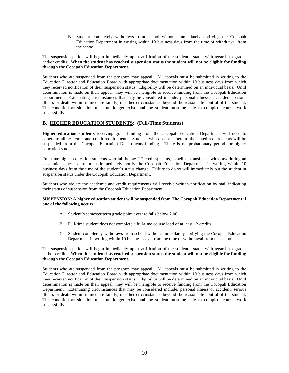B. Student completely withdraws from school without immediately notifying the Cocopah Education Department in writing within 10 business days from the time of withdrawal from the school.

The suspension period will begin immediately upon verification of the student's status with regards to grades and/or credits. **When the student has reached suspension status the student will not be eligible for funding through the Cocopah Education Department.**

Students who are suspended from the program may appeal. All appeals must be submitted in writing to the Education Director and Education Board with appropriate documentation within 10 business days from which they received notification of their suspension status. Eligibility will be determined on an individual basis. Until determination is made on their appeal, they will be ineligible to receive funding from the Cocopah Education Department. Extenuating circumstances that may be considered include: personal illness or accident, serious illness or death within immediate family, or other circumstances beyond the reasonable control of the student. The condition or situation must no longer exist, and the student must be able to complete course work successfully.

#### **B. HIGHER EDUCATION STUDENTS: (Full-Time Students)**

**Higher education students** receiving grant funding from the Cocopah Education Department will need to adhere to all academic and credit requirements. Students who do not adhere to the stated requirements will be suspended from the Cocopah Education Departments funding. There is no probationary period for higher education students.

Full-time higher education students who fall below (12 credits) status, expelled, transfer or withdraw during an academic semester/term must immediately notify the Cocopah Education Department in writing within 10 business days from the time of the student's status change. Failure to do so will immediately put the student in suspension status under the Cocopah Education Department.

Students who violate the academic and credit requirements will receive written notification by mail indicating their status of suspension from the Cocopah Education Department.

#### **SUSPENSION: A higher education student will be suspended from The Cocopah Education Department if one of the following occurs:**

- A. Student's semester/term grade point average falls below 2.00.
- B. Full-time student does not complete a full-time course load of at least 12 credits.
- C. Student completely withdraws from school without immediately notifying the Cocopah Education Department in writing within 10 business days from the time of withdrawal from the school.

#### The suspension period will begin immediately upon verification of the student's status with regards to grades and/or credits. **When the student has reached suspension status the student will not be eligible for funding through the Cocopah Education Department.**

Students who are suspended from the program may appeal. All appeals must be submitted in writing to the Education Director and Education Board with appropriate documentation within 10 business days from which they received notification of their suspension status. Eligibility will be determined on an individual basis. Until determination is made on their appeal, they will be ineligible to receive funding from the Cocopah Education Department. Extenuating circumstances that may be considered include: personal illness or accident, serious illness or death within immediate family, or other circumstances beyond the reasonable control of the student. The condition or situation must no longer exist, and the student must be able to complete course work successfully.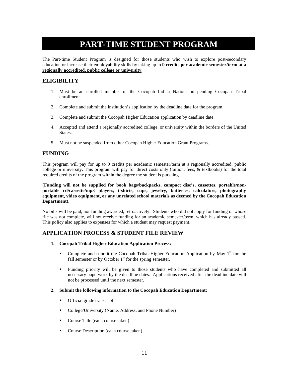## **PART-TIME STUDENT PROGRAM**

The Part-time Student Program is designed for those students who wish to explore post-secondary education or increase their employability skills by taking up to **9 credits per academic semester/term at a regionally accredited, public college or university**.

## **ELIGIBILITY**

- 1. Must be an enrolled member of the Cocopah Indian Nation, no pending Cocopah Tribal enrollment.
- 2. Complete and submit the institution's application by the deadline date for the program.
- 3. Complete and submit the Cocopah Higher Education application by deadline date.
- 4. Accepted and attend a regionally accredited college, or university within the borders of the United States.
- 5. Must not be suspended from other Cocopah Higher Education Grant Programs.

### **FUNDING**

This program will pay for up to 9 credits per academic semester/term at a regionally accredited, public college or university. This program will pay for direct costs only (tuition, fees, & textbooks) for the total required credits of the program within the degree the student is pursuing.

#### **(Funding will not be supplied for book bags/backpacks, compact disc's, cassettes, portable/nonportable cd/cassette/mp3 players, t-shirts, cups, jewelry, batteries, calculators, photography equipment, video equipment, or any unrelated school materials as deemed by the Cocopah Education Department).**

No bills will be paid, nor funding awarded, retroactively. Students who did not apply for funding or whose file was not complete, will not receive funding for an academic semester/term, which has already passed. This policy also applies to expenses for which a student may request payment.

## **APPLICATION PROCESS & STUDENT FILE REVIEW**

- **1. Cocopah Tribal Higher Education Application Process:** 
	- Complete and submit the Cocopah Tribal Higher Education Application by May  $1<sup>st</sup>$  for the fall semester or by October  $1<sup>st</sup>$  for the spring semester.
	- Funding priority will be given to those students who have completed and submitted all necessary paperwork by the deadline dates. Applications received after the deadline date will not be processed until the next semester.

#### **2. Submit the following information to the Cocopah Education Department:**

- **•** Official grade transcript
- College/University (Name, Address, and Phone Number)
- Course Title (each course taken)
- **Course Description (each course taken)**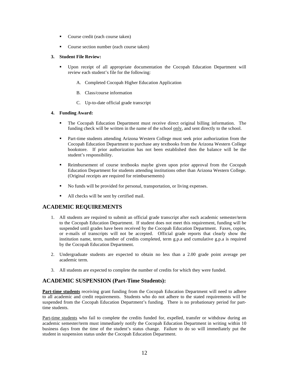- Course credit (each course taken)
- Course section number (each course taken)

#### **3. Student File Review:**

- Upon receipt of all appropriate documentation the Cocopah Education Department will review each student's file for the following:
	- A. Completed Cocopah Higher Education Application
	- B. Class/course information
	- C. Up-to-date official grade transcript

#### **4. Funding Award:**

- The Cocopah Education Department must receive direct original billing information. The funding check will be written in the name of the school only, and sent directly to the school.
- Part-time students attending Arizona Western College must seek prior authorization from the Cocopah Education Department to purchase any textbooks from the Arizona Western College bookstore. If prior authorization has not been established then the balance will be the student's responsibility.
- Reimbursement of course textbooks maybe given upon prior approval from the Cocopah Education Department for students attending institutions other than Arizona Western College. (Original receipts are required for reimbursements)
- No funds will be provided for personal, transportation, or living expenses.
- All checks will be sent by certified mail.

## **ACADEMIC REQUIREMENTS**

- 1. All students are required to submit an official grade transcript after each academic semester/term to the Cocopah Education Department. If student does not meet this requirement, funding will be suspended until grades have been received by the Cocopah Education Department. Faxes, copies, or e-mails of transcripts will not be accepted. Official grade reports that clearly show the institution name, term, number of credits completed, term g.p.a and cumulative g.p.a is required by the Cocopah Education Department.
- 2. Undergraduate students are expected to obtain no less than a 2.00 grade point average per academic term.
- 3. All students are expected to complete the number of credits for which they were funded.

## **ACADEMIC SUSPENSION (Part-Time Students):**

Part-time students receiving grant funding from the Cocopah Education Department will need to adhere to all academic and credit requirements. Students who do not adhere to the stated requirements will be suspended from the Cocopah Education Department's funding. There is no probationary period for parttime students.

Part-time students who fail to complete the credits funded for, expelled, transfer or withdraw during an academic semester/term must immediately notify the Cocopah Education Department in writing within 10 business days from the time of the student's status change. Failure to do so will immediately put the student in suspension status under the Cocopah Education Department.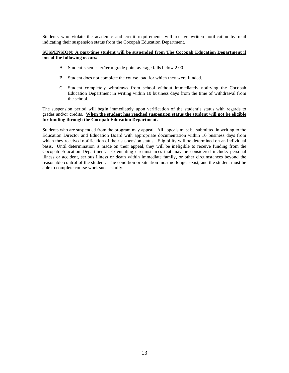Students who violate the academic and credit requirements will receive written notification by mail indicating their suspension status from the Cocopah Education Department.

#### **SUSPENSION: A part-time student will be suspended from The Cocopah Education Department if one of the following occurs:**

- A. Student's semester/term grade point average falls below 2.00.
- B. Student does not complete the course load for which they were funded.
- C. Student completely withdraws from school without immediately notifying the Cocopah Education Department in writing within 10 business days from the time of withdrawal from the school.

The suspension period will begin immediately upon verification of the student's status with regards to grades and/or credits. **When the student has reached suspension status the student will not be eligible for funding through the Cocopah Education Department.**

Students who are suspended from the program may appeal. All appeals must be submitted in writing to the Education Director and Education Board with appropriate documentation within 10 business days from which they received notification of their suspension status. Eligibility will be determined on an individual basis. Until determination is made on their appeal, they will be ineligible to receive funding from the Cocopah Education Department. Extenuating circumstances that may be considered include: personal illness or accident, serious illness or death within immediate family, or other circumstances beyond the reasonable control of the student. The condition or situation must no longer exist, and the student must be able to complete course work successfully.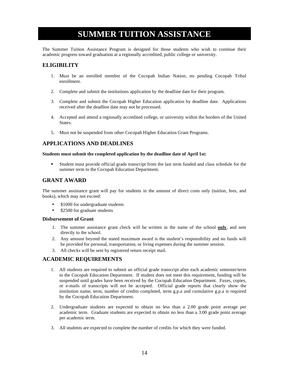## **SUMMER TUITION ASSISTANCE**

The Summer Tuition Assistance Program is designed for those students who wish to continue their academic progress toward graduation at a regionally accredited, public college or university.

## **ELIGIBILITY**

- 1. Must be an enrolled member of the Cocopah Indian Nation, no pending Cocopah Tribal enrollment.
- 2. Complete and submit the institutions application by the deadline date for their program.
- 3. Complete and submit the Cocopah Higher Education application by deadline date. Applications received after the deadline date may not be processed.
- 4. Accepted and attend a regionally accredited college, or university within the borders of the United States.
- 5. Must not be suspended from other Cocopah Higher Education Grant Programs.

### **APPLICATIONS AND DEADLINES**

#### **Students must submit the completed application by the deadline date of April 1st:**

 Student must provide official grade transcript from the last term funded and class schedule for the summer term to the Cocopah Education Department.

### **GRANT AWARD**

The summer assistance grant will pay for students in the amount of direct costs only (tuition, fees, and books), which may not exceed:

- \$1000 for undergraduate students
- \$2500 for graduate students

#### **Disbursement of Grant**

- 1. The summer assistance grant check will be written in the name of the school **only**, and sent directly to the school.
- 2. Any amount beyond the stated maximum award is the student's responsibility and no funds will be provided for personal, transportation, or living expenses during the summer session.
- 3. All checks will be sent by registered return receipt mail.

## **ACADEMIC REQUIREMENTS**

- 1. All students are required to submit an official grade transcript after each academic semester/term to the Cocopah Education Department. If student does not meet this requirement, funding will be suspended until grades have been received by the Cocopah Education Department. Faxes, copies, or e-mails of transcripts will not be accepted. Official grade reports that clearly show the institution name, term, number of credits completed, term g.p.a and cumulative g.p.a is required by the Cocopah Education Department.
- 2. Undergraduate students are expected to obtain no less than a 2.00 grade point average per academic term. Graduate students are expected to obtain no less than a 3.00 grade point average per academic term.
- 3. All students are expected to complete the number of credits for which they were funded.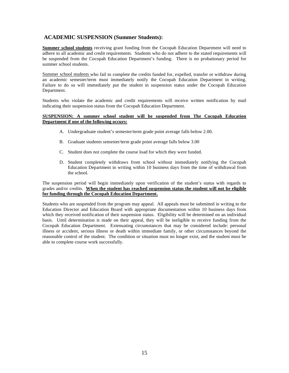## **ACADEMIC SUSPENSION (Summer Students):**

**Summer school students** receiving grant funding from the Cocopah Education Department will need to adhere to all academic and credit requirements. Students who do not adhere to the stated requirements will be suspended from the Cocopah Education Department's funding. There is no probationary period for summer school students.

Summer school students who fail to complete the credits funded for, expelled, transfer or withdraw during an academic semester/term must immediately notify the Cocopah Education Department in writing. Failure to do so will immediately put the student in suspension status under the Cocopah Education Department.

Students who violate the academic and credit requirements will receive written notification by mail indicating their suspension status from the Cocopah Education Department.

#### **SUSPENSION: A summer school student will be suspended from The Cocopah Education Department if one of the following occurs:**

- A. Undergraduate student's semester/term grade point average falls below 2.00.
- B. Graduate students semester/term grade point average falls below 3.00
- C. Student does not complete the course load for which they were funded.
- D. Student completely withdraws from school without immediately notifying the Cocopah Education Department in writing within 10 business days from the time of withdrawal from the school.

The suspension period will begin immediately upon verification of the student's status with regards to grades and/or credits. **When the student has reached suspension status the student will not be eligible for funding through the Cocopah Education Department.**

Students who are suspended from the program may appeal. All appeals must be submitted in writing to the Education Director and Education Board with appropriate documentation within 10 business days from which they received notification of their suspension status. Eligibility will be determined on an individual basis. Until determination is made on their appeal, they will be ineligible to receive funding from the Cocopah Education Department. Extenuating circumstances that may be considered include: personal illness or accident, serious illness or death within immediate family, or other circumstances beyond the reasonable control of the student. The condition or situation must no longer exist, and the student must be able to complete course work successfully.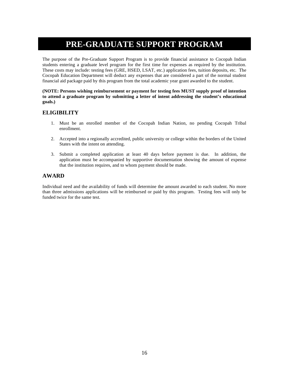## **PRE-GRADUATE SUPPORT PROGRAM**

The purpose of the Pre-Graduate Support Program is to provide financial assistance to Cocopah Indian students entering a graduate level program for the first time for expenses as required by the institution. These costs may include: testing fees (GRE, HSED, LSAT, etc.) application fees, tuition deposits, etc. The Cocopah Education Department will deduct any expenses that are considered a part of the normal student financial aid package paid by this program from the total academic year grant awarded to the student.

#### **(NOTE: Persons wishing reimbursement or payment for testing fees MUST supply proof of intention to attend a graduate program by submitting a letter of intent addressing the student's educational goals.)**

## **ELIGIBILITY**

- 1. Must be an enrolled member of the Cocopah Indian Nation, no pending Cocopah Tribal enrollment.
- 2. Accepted into a regionally accredited, public university or college within the borders of the United States with the intent on attending.
- 3. Submit a completed application at least 40 days before payment is due. In addition, the application must be accompanied by supportive documentation showing the amount of expense that the institution requires, and to whom payment should be made.

## **AWARD**

Individual need and the availability of funds will determine the amount awarded to each student. No more than three admissions applications will be reimbursed or paid by this program. Testing fees will only be funded twice for the same test.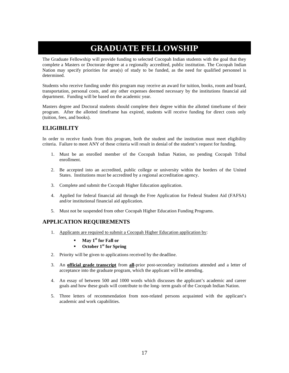## **GRADUATE FELLOWSHIP**

The Graduate Fellowship will provide funding to selected Cocopah Indian students with the goal that they complete a Masters or Doctorate degree at a regionally accredited, public institution. The Cocopah Indian Nation may specify priorities for area(s) of study to be funded, as the need for qualified personnel is determined.

Students who receive funding under this program may receive an award for tuition, books, room and board, transportation, personal costs, and any other expenses deemed necessary by the institutions financial aid department. Funding will be based on the academic year.

Masters degree and Doctoral students should complete their degree within the allotted timeframe of their program. After the allotted timeframe has expired, students will receive funding for direct costs only (tuition, fees, and books).

## **ELIGIBILITY**

In order to receive funds from this program, both the student and the institution must meet eligibility criteria. Failure to meet ANY of these criteria will result in denial of the student's request for funding.

- 1. Must be an enrolled member of the Cocopah Indian Nation, no pending Cocopah Tribal enrollment.
- 2. Be accepted into an accredited, public college or university within the borders of the United States. Institutions must be accredited by a regional accreditation agency.
- 3. Complete and submit the Cocopah Higher Education application.
- 4. Applied for federal financial aid through the Free Application for Federal Student Aid (FAFSA) and/or institutional financial aid application.
- 5. Must not be suspended from other Cocopah Higher Education Funding Programs.

## **APPLICATION REQUIREMENTS**

- 1. Applicants are required to submit a Cocopah Higher Education application by:
	- **May 1st for Fall or**
	- **October 1st for Spring**
- 2. Priority will be given to applications received by the deadline.
- 3. An **official grade transcript** from **all**-prior post-secondary institutions attended and a letter of acceptance into the graduate program, which the applicant will be attending.
- 4. An essay of between 500 and 1000 words which discusses the applicant's academic and career goals and how these goals will contribute to the long- term goals of the Cocopah Indian Nation.
- 5. Three letters of recommendation from non-related persons acquainted with the applicant's academic and work capabilities.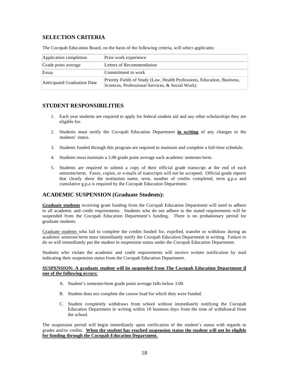## **SELECTION CRITERIA**

| Application completion      | Prior work experience                                                                                                      |
|-----------------------------|----------------------------------------------------------------------------------------------------------------------------|
| Grade point average         | Letters of Recommendation                                                                                                  |
| Essay                       | Commitment to work                                                                                                         |
| Anticipated Graduation Date | Priority Fields of Study (Law, Health Professions, Education, Business,<br>Sciences, Professional Services, & Social Work) |

The Cocopah Education Board, on the basis of the following criteria, will select applicants:

## **STUDENT RESPONSIBILITIES**

- 1. Each year students are required to apply for federal student aid and any other scholarships they are eligible for.
- 2. Students must notify the Cocopah Education Department **in writing** of any changes in the students' status.
- 3. Students funded through this program are required to maintain and complete a full-time schedule.
- 4. Students must maintain a 3.00 grade point average each academic semester/term.
- 5. Students are required to submit a copy of their official grade transcript at the end of each semester/term. Faxes, copies, or e-mails of transcripts will not be accepted. Official grade reports that clearly show the institution name, term, number of credits completed, term g.p.a and cumulative g.p.a is required by the Cocopah Education Department.

## **ACADEMIC SUSPENSION (Graduate Students):**

**Graduate students** receiving grant funding from the Cocopah Education Department will need to adhere to all academic and credit requirements. Students who do not adhere to the stated requirements will be suspended from the Cocopah Education Department's funding. There is no probationary period for graduate students.

Graduate students who fail to complete the credits funded for, expelled, transfer or withdraw during an academic semester/term must immediately notify the Cocopah Education Department in writing. Failure to do so will immediately put the student in suspension status under the Cocopah Education Department.

Students who violate the academic and credit requirements will receive written notification by mail indicating their suspension status from the Cocopah Education Department.

#### **SUSPENSION: A graduate student will be suspended from The Cocopah Education Department if one of the following occurs:**

- A. Student's semester/term grade point average falls below 3.00.
- B. Student does not complete the course load for which they were funded.
- C. Student completely withdraws from school without immediately notifying the Cocopah Education Department in writing within 10 business days from the time of withdrawal from the school.

The suspension period will begin immediately upon verification of the student's status with regards to grades and/or credits. **When the student has reached suspension status the student will not be eligible for funding through the Cocopah Education Department.**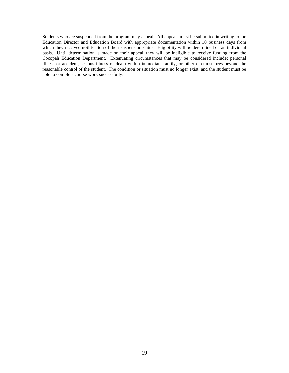Students who are suspended from the program may appeal. All appeals must be submitted in writing to the Education Director and Education Board with appropriate documentation within 10 business days from which they received notification of their suspension status. Eligibility will be determined on an individual basis. Until determination is made on their appeal, they will be ineligible to receive funding from the Cocopah Education Department. Extenuating circumstances that may be considered include: personal illness or accident, serious illness or death within immediate family, or other circumstances beyond the reasonable control of the student. The condition or situation must no longer exist, and the student must be able to complete course work successfully.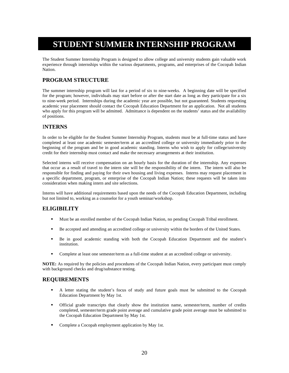## **STUDENT SUMMER INTERNSHIP PROGRAM**

The Student Summer Internship Program is designed to allow college and university students gain valuable work experience through internships within the various departments, programs, and enterprises of the Cocopah Indian Nation.

## **PROGRAM STRUCTURE**

The summer internship program will last for a period of six to nine-weeks. A beginning date will be specified for the program; however, individuals may start before or after the start date as long as they participate for a six to nine-week period. Internships during the academic year are possible, but not guaranteed. Students requesting academic year placement should contact the Cocopah Education Department for an application. Not all students who apply for this program will be admitted. Admittance is dependent on the students<sup>7</sup> status and the availability of positions.

## I**NTERNS**

In order to be eligible for the Student Summer Internship Program, students must be at full-time status and have completed at least one academic semester/term at an accredited college or university immediately prior to the beginning of the program and be in good academic standing. Interns who wish to apply for college/university credit for their internship must contact and make the necessary arrangements at their institution.

Selected interns will receive compensation on an hourly basis for the duration of the internship. Any expenses that occur as a result of travel to the intern site will be the responsibility of the intern. The intern will also be responsible for finding and paying for their own housing and living expenses. Interns may request placement in a specific department, program, or enterprise of the Cocopah Indian Nation; these requests will be taken into consideration when making intern and site selections.

Interns will have additional requirements based upon the needs of the Cocopah Education Department, including but not limited to, working as a counselor for a youth seminar/workshop.

## **ELIGIBILITY**

- Must be an enrolled member of the Cocopah Indian Nation, no pending Cocopah Tribal enrollment.
- Be accepted and attending an accredited college or university within the borders of the United States.
- Be in good academic standing with both the Cocopah Education Department and the student's institution.
- Complete at least one semester/term as a full-time student at an accredited college or university.

**NOTE:** As required by the policies and procedures of the Cocopah Indian Nation, every participant must comply with background checks and drug/substance testing.

## **REQUIREMENTS**

- A letter stating the student's focus of study and future goals must be submitted to the Cocopah Education Department by May 1st.
- Official grade transcripts that clearly show the institution name, semester/term, number of credits completed, semester/term grade point average and cumulative grade point average must be submitted to the Cocopah Education Department by May 1st.
- Complete a Cocopah employment application by May 1st.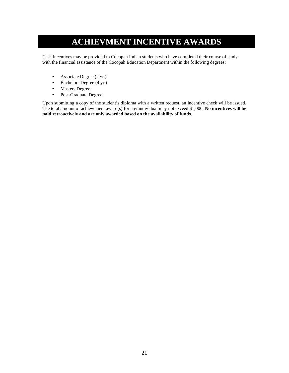## **ACHIEVMENT INCENTIVE AWARDS**

Cash incentives may be provided to Cocopah Indian students who have completed their course of study with the financial assistance of the Cocopah Education Department within the following degrees:

- Associate Degree (2 yr.)
- Bachelors Degree (4 yr.)
- Masters Degree
- Post-Graduate Degree

Upon submitting a copy of the student's diploma with a written request, an incentive check will be issued. The total amount of achievement award(s) for any individual may not exceed \$1,000. **No incentives will be paid retroactively and are only awarded based on the availability of funds**.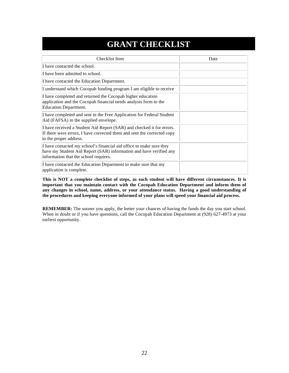## **GRANT CHECKLIST**

| Checklist Item                                                                                                                                                                     | Date |
|------------------------------------------------------------------------------------------------------------------------------------------------------------------------------------|------|
| I have contacted the school.                                                                                                                                                       |      |
| I have been admitted to school.                                                                                                                                                    |      |
| I have contacted the Education Department.                                                                                                                                         |      |
| I understand which Cocopah funding program I am eligible to receive                                                                                                                |      |
| I have completed and returned the Cocopah higher education<br>application and the Cocopah financial needs analysis form to the<br><b>Education Department.</b>                     |      |
| I have completed and sent in the Free Application for Federal Student<br>Aid (FAFSA) in the supplied envelope.                                                                     |      |
| I have received a Student Aid Report (SAR) and checked it for errors.<br>If there were errors, I have corrected them and sent the corrected copy<br>to the proper address.         |      |
| I have contacted my school's financial aid office to make sure they<br>have my Student Aid Report (SAR) information and have verified any<br>information that the school requires. |      |
| I have contacted the Education Department to make sure that my<br>application is complete.                                                                                         |      |

**This is NOT a complete checklist of steps, as each student will have different circumstances. It is important that you maintain contact with the Cocopah Education Department and inform them of any changes in school, name, address, or your attendance status. Having a good understanding of the procedures and keeping everyone informed of your plans will speed your financial aid process.** 

**REMEMBER:** The sooner you apply, the better your chances of having the funds the day you start school. When in doubt or if you have questions, call the Cocopah Education Department at (928) 627-4973 at your earliest opportunity.